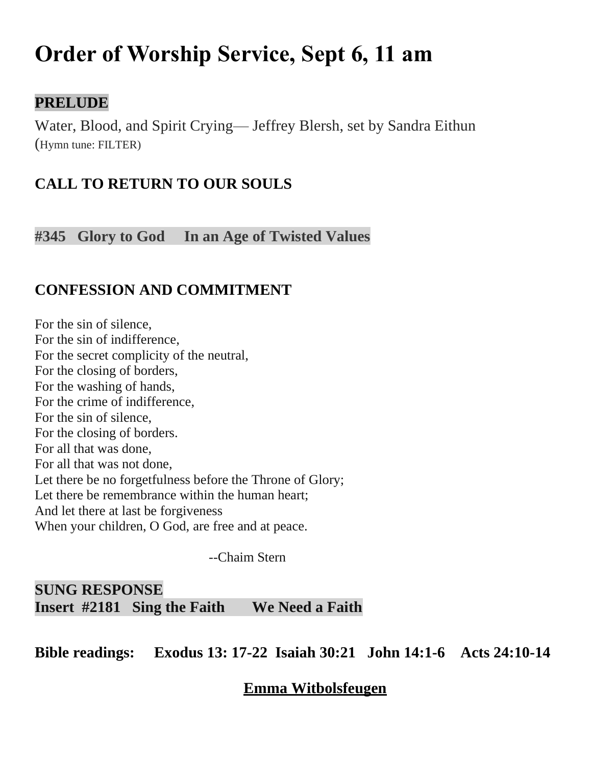# **Order of Worship Service, Sept 6, 11 am**

### **PRELUDE**

Water, Blood, and Spirit Crying— Jeffrey Blersh, set by Sandra Eithun (Hymn tune: FILTER)

# **CALL TO RETURN TO OUR SOULS**

**#345 Glory to God In an Age of Twisted Values**

# **CONFESSION AND COMMITMENT**

For the sin of silence, For the sin of indifference, For the secret complicity of the neutral, For the closing of borders, For the washing of hands, For the crime of indifference, For the sin of silence, For the closing of borders. For all that was done, For all that was not done, Let there be no forgetfulness before the Throne of Glory; Let there be remembrance within the human heart; And let there at last be forgiveness When your children, O God, are free and at peace.

--Chaim Stern

# **SUNG RESPONSE Insert #2181 Sing the Faith We Need a Faith**

**Bible readings: Exodus 13: 17-22 Isaiah 30:21 John 14:1-6 Acts 24:10-14**

#### **Emma Witbolsfeugen**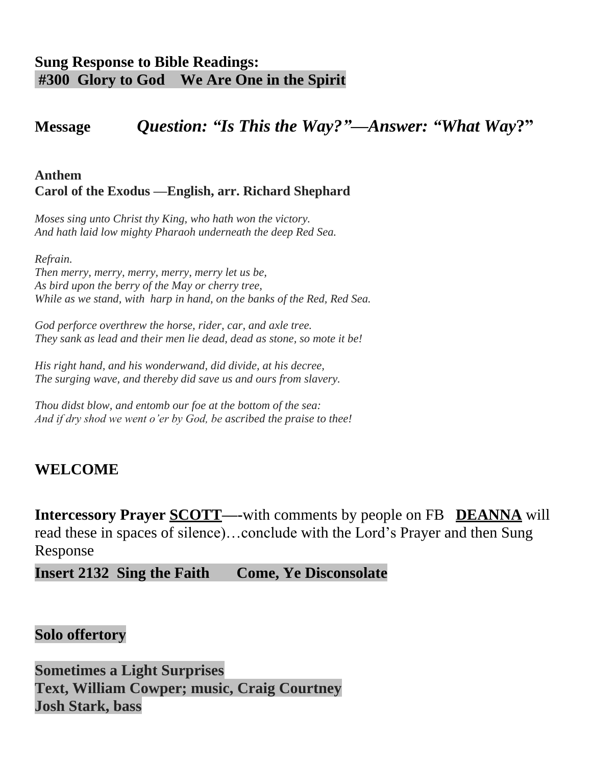# **Sung Response to Bible Readings: #300 Glory to God We Are One in the Spirit**

# **Message** *Question: "Is This the Way?"—Answer: "What Way***?"**

#### **Anthem Carol of the Exodus —English, arr. Richard Shephard**

*Moses sing unto Christ thy King, who hath won the victory. And hath laid low mighty Pharaoh underneath the deep Red Sea.*

*Refrain.*

*Then merry, merry, merry, merry, merry let us be, As bird upon the berry of the May or cherry tree, While as we stand, with harp in hand, on the banks of the Red, Red Sea.*

*God perforce overthrew the horse, rider, car, and axle tree. They sank as lead and their men lie dead, dead as stone, so mote it be!*

*His right hand, and his wonderwand, did divide, at his decree, The surging wave, and thereby did save us and ours from slavery.*

*Thou didst blow, and entomb our foe at the bottom of the sea: And if dry shod we went o'er by God, be ascribed the praise to thee!*

## **WELCOME**

**Intercessory Prayer <u>SCOTT</u>—-with comments by people on FB DEANNA** will read these in spaces of silence)…conclude with the Lord's Prayer and then Sung Response

**Insert 2132 Sing the Faith Come, Ye Disconsolate** 

#### **Solo offertory**

**Sometimes a Light Surprises Text, William Cowper; music, Craig Courtney Josh Stark, bass**